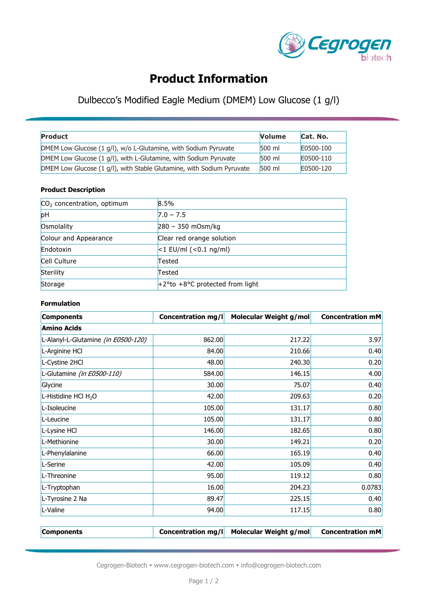

# **Product Information**

### Dulbecco's Modified Eagle Medium (DMEM) Low Glucose (1 g/l)

| <b>Product</b>                                                        | <b>Volume</b> | Cat. No.  |
|-----------------------------------------------------------------------|---------------|-----------|
| DMEM Low Glucose (1 g/l), w/o L-Glutamine, with Sodium Pyruvate       | 500 ml        | E0500-100 |
| DMEM Low Glucose (1 g/l), with L-Glutamine, with Sodium Pyruvate      | 500 ml        | E0500-110 |
| DMEM Low Glucose (1 g/l), with Stable Glutamine, with Sodium Pyruvate | 500 ml        | E0500-120 |

#### **Product Description**

| $CO2$ concentration, optimum | 8.5%                               |
|------------------------------|------------------------------------|
| pH                           | $7.0 - 7.5$                        |
| Osmolality                   | $280 - 350$ mOsm/kg                |
| Colour and Appearance        | Clear red orange solution          |
| Endotoxin                    | $ <$ 1 EU/ml ( $<$ 0.1 ng/ml)      |
| Cell Culture                 | Tested                             |
| Sterility                    | Tested                             |
| Storage                      | $+2$ °to +8°C protected from light |

#### **Formulation**

| <b>Components</b>                   | <b>Concentration mg/l</b> | Molecular Weight g/mol | <b>Concentration mM</b> |
|-------------------------------------|---------------------------|------------------------|-------------------------|
| <b>Amino Acids</b>                  |                           |                        |                         |
| L-Alanyl-L-Glutamine (in E0500-120) | 862.00                    | 217.22                 | 3.97                    |
| L-Arginine HCl                      | 84.00                     | 210.66                 | 0.40                    |
| L-Cystine 2HCl                      | 48.00                     | 240.30                 | 0.20                    |
| L-Glutamine (in E0500-110)          | 584.00                    | 146.15                 | 4.00                    |
| Glycine                             | 30.00                     | 75.07                  | 0.40                    |
| L-Histidine HCl H <sub>2</sub> O    | 42.00                     | 209.63                 | 0.20                    |
| L-Isoleucine                        | 105.00                    | 131.17                 | 0.80                    |
| L-Leucine                           | 105.00                    | 131.17                 | 0.80                    |
| L-Lysine HCl                        | 146.00                    | 182.65                 | 0.80                    |
| L-Methionine                        | 30.00                     | 149.21                 | 0.20                    |
| L-Phenylalanine                     | 66.00                     | 165.19                 | 0.40                    |
| L-Serine                            | 42.00                     | 105.09                 | 0.40                    |
| L-Threonine                         | 95.00                     | 119.12                 | 0.80                    |
| L-Tryptophan                        | 16.00                     | 204.23                 | 0.0783                  |
| L-Tyrosine 2 Na                     | 89.47                     | 225.15                 | 0.40                    |
| L-Valine                            | 94.00                     | 117.15                 | 0.80                    |

| Components |  | <b>Concentration mg/l</b> Molecular Weight g/mol | <b>Concentration mM</b> |
|------------|--|--------------------------------------------------|-------------------------|
|------------|--|--------------------------------------------------|-------------------------|